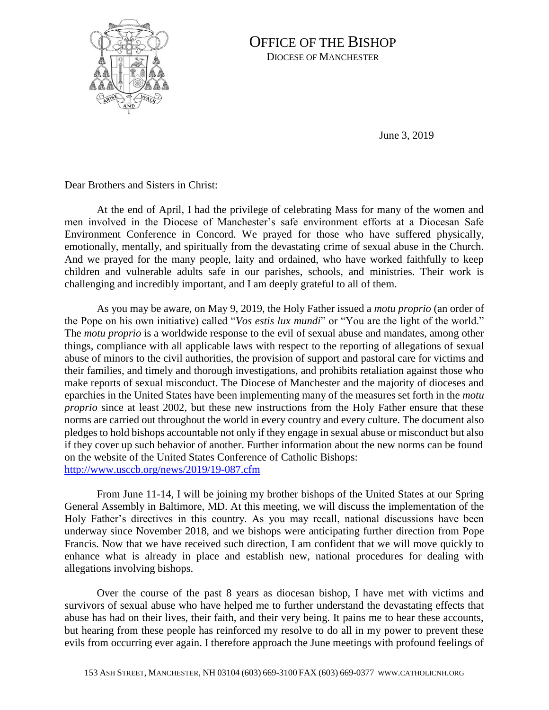

## OFFICE OF THE BISHOP DIOCESE OF MANCHESTER

June 3, 2019

Dear Brothers and Sisters in Christ:

At the end of April, I had the privilege of celebrating Mass for many of the women and men involved in the Diocese of Manchester's safe environment efforts at a Diocesan Safe Environment Conference in Concord. We prayed for those who have suffered physically, emotionally, mentally, and spiritually from the devastating crime of sexual abuse in the Church. And we prayed for the many people, laity and ordained, who have worked faithfully to keep children and vulnerable adults safe in our parishes, schools, and ministries. Their work is challenging and incredibly important, and I am deeply grateful to all of them.

As you may be aware, on May 9, 2019, the Holy Father issued a *motu proprio* (an order of the Pope on his own initiative) called "*Vos estis lux mundi*" or "You are the light of the world." The *motu proprio* is a worldwide response to the evil of sexual abuse and mandates, among other things, compliance with all applicable laws with respect to the reporting of allegations of sexual abuse of minors to the civil authorities, the provision of support and pastoral care for victims and their families, and timely and thorough investigations, and prohibits retaliation against those who make reports of sexual misconduct. The Diocese of Manchester and the majority of dioceses and eparchies in the United States have been implementing many of the measures set forth in the *motu proprio* since at least 2002, but these new instructions from the Holy Father ensure that these norms are carried out throughout the world in every country and every culture. The document also pledges to hold bishops accountable not only if they engage in sexual abuse or misconduct but also if they cover up such behavior of another. Further information about the new norms can be found on the website of the United States Conference of Catholic Bishops: <http://www.usccb.org/news/2019/19-087.cfm>

From June 11-14, I will be joining my brother bishops of the United States at our Spring General Assembly in Baltimore, MD. At this meeting, we will discuss the implementation of the Holy Father's directives in this country. As you may recall, national discussions have been underway since November 2018, and we bishops were anticipating further direction from Pope Francis. Now that we have received such direction, I am confident that we will move quickly to enhance what is already in place and establish new, national procedures for dealing with allegations involving bishops.

Over the course of the past 8 years as diocesan bishop, I have met with victims and survivors of sexual abuse who have helped me to further understand the devastating effects that abuse has had on their lives, their faith, and their very being. It pains me to hear these accounts, but hearing from these people has reinforced my resolve to do all in my power to prevent these evils from occurring ever again. I therefore approach the June meetings with profound feelings of